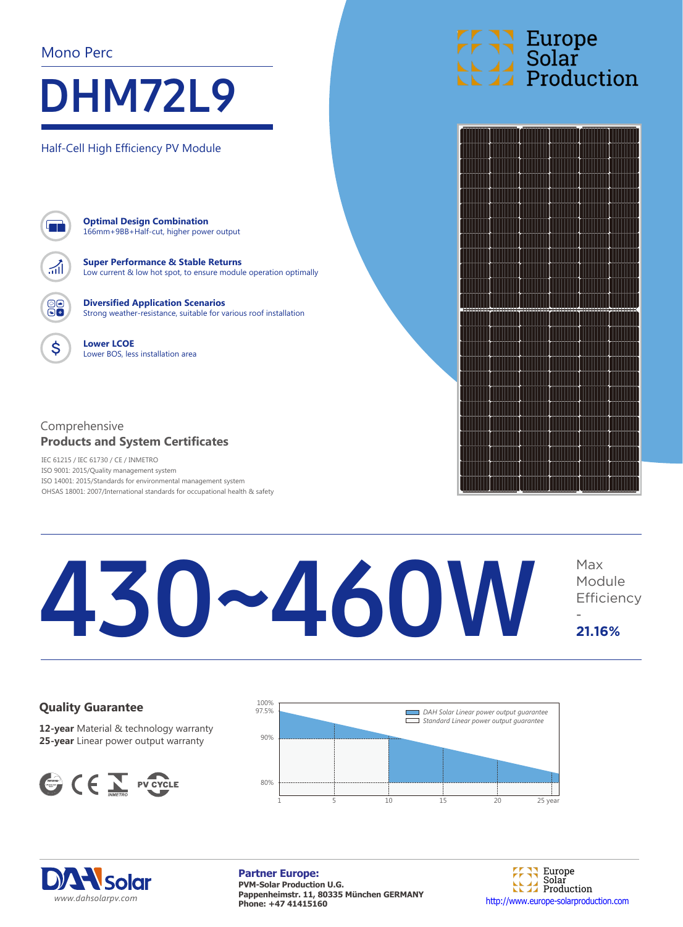#### Mono Perc

## DHM72L9

Half-Cell High Efficiency PV Module



\$

**Optimal Design Combination** 166mm+9BB+Half-cut, higher power output

**Super Performance & Stable Returns** Low current & low hot spot, to ensure module operation optimally

**Diversified Application Scenarios** Strong weather-resistance, suitable for various roof installation

**Lower LCOE** Lower BOS, less installation area

#### Comprehensive **Products and System Certificates**

IEC 61215 / IEC 61730 / CE / INMETRO ISO 9001: 2015/Quality management system ISO 14001: 2015/Standards for environmental management system OHSAS 18001: 2007/International standards for occupational health & safety

## **Europe<br>Solar<br>La Production**



#### 430~460W Module **Efficiency** - **21.16%**

#### **Quality Guarantee**

**12-year** Material & technology warranty **25-year** Linear power output warranty







**Partner Europe: PVM-Solar Production U.G. Pappenheimstr. 11, 80335 München GERMANY Phone: +47 41415160** http://www.europe-solarproduction.com

Europe Solar Production